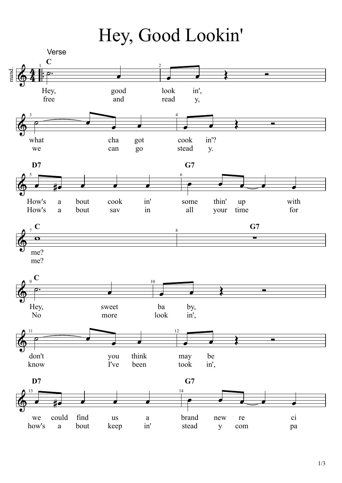Hey, Good Lookin'



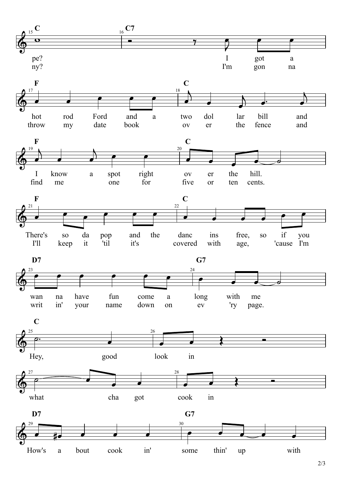2/3